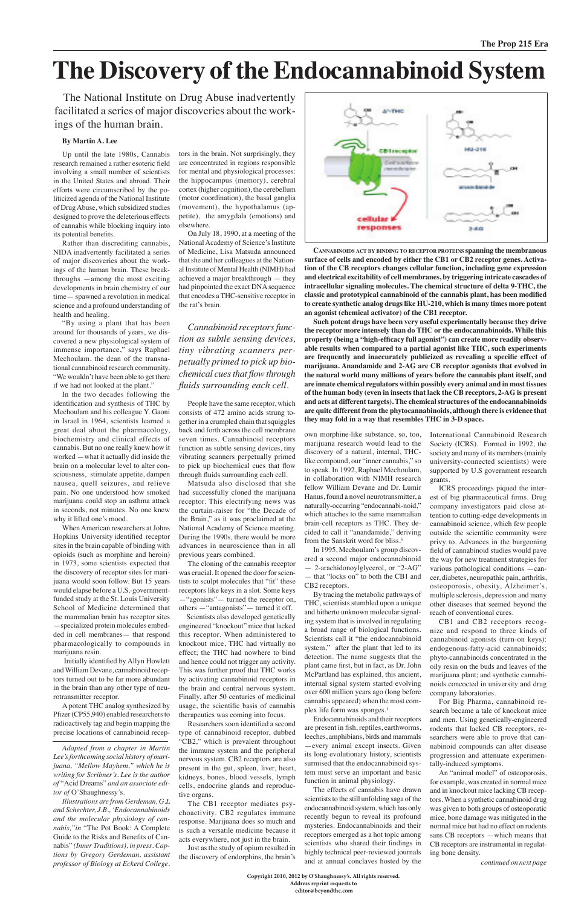# **The Discovery of the Endocannabinoid System**

#### **By Martin A. Lee**

Up until the late 1980s, Cannabis research remained a rather esoteric field involving a small number of scientists in the United States and abroad. Their efforts were circumscribed by the politicized agenda of the National Institute of Drug Abuse, which subsidized studies designed to prove the deleterious effects of cannabis while blocking inquiry into its potential benefits.

Rather than discrediting cannabis, NIDA inadvertently facilitated a series of major discoveries about the workings of the human brain. These breakthroughs —among the most exciting developments in brain chemistry of our time— spawned a revolution in medical science and a profound understanding of health and healing.

"By using a plant that has been around for thousands of years, we discovered a new physiological system of immense importance," says Raphael Mechoulam, the dean of the transnational cannabinoid research community. "We wouldn't have been able to get there if we had not looked at the plant."

In the two decades following the identification and synthesis of THC by Mechoulam and his colleague Y. Gaoni in Israel in 1964, scientists learned a great deal about the pharmacology, biochemistry and clinical effects of cannabis. But no one really knew how it worked —what it actually did inside the brain on a molecular level to alter consciousness, stimulate appetite, dampen nausea, quell seizures, and relieve pain. No one understood how smoked marijuana could stop an asthma attack in seconds, not minutes. No one knew why it lifted one's mood.

When American researchers at Johns Hopkins University identified receptor sites in the brain capable of binding with opioids (such as morphine and heroin) in 1973, some scientists expected that the discovery of receptor sites for marijuana would soon follow. But 15 years would elapse before a U.S.-governmentfunded study at the St. Louis University School of Medicine determined that the mammalian brain has receptor sites —specialized protein molecules embedded in cell membranes— that respond pharmacologically to compounds in marijuana resin.

Initially identified by Allyn Howlett

and William Devane, cannabinoid receptors turned out to be far more abundant in the brain than any other type of neurotransmitter receptor.

A potent THC analog synthesized by Pfizer (CP55,940) enabled researchers to radioactively tag and begin mapping the precise locations of cannabinoid recepown morphine-like substance, so, too, marijuana research would lead to the discovery of a natural, internal, THClike compound, our "inner cannabis," so to speak. In 1992, Raphael Mechoulam, in collaboration with NIMH research fellow William Devane and Dr. Lumir Hanus, found a novel neurotransmitter, a naturally-occurring "endocannabi-noid," which attaches to the same mammalian brain-cell receptors as THC. They decided to call it "anandamide," deriving from the Sanskrit word for bliss.<sup>6</sup>

tors in the brain. Not surprisingly, they are concentrated in regions responsible for mental and physiological processes: the hippocampus (memory), cerebral cortex (higher cognition), the cerebellum (motor coordination), the basal ganglia (movement), the hypothalamus (appetite), the amygdala (emotions) and elsewhere.

On July 18, 1990, at a meeting of the National Academy of Science's Institute of Medicine, Lisa Matsuda announced that she and her colleagues at the National Institute of Mental Health (NIMH) had achieved a major breakthrough — they had pinpointed the exact DNA sequence that encodes a THC-sensitive receptor in the rat's brain.

*Cannabinoid receptors function as subtle sensing devices, tiny vibrating scanners perpetually primed to pick up biochemical cues that flow through fluids surrounding each cell.* 

People have the same receptor, which consists of 472 amino acids strung together in a crumpled chain that squiggles back and forth across the cell membrane seven times. Cannabinoid receptors function as subtle sensing devices, tiny vibrating scanners perpetually primed to pick up biochemical cues that flow through fluids surrounding each cell.

Matsuda also disclosed that she had successfully cloned the marijuana receptor. This electrifying news was the curtain-raiser for "the Decade of the Brain," as it was proclaimed at the National Academy of Science meeting. During the 1990s, there would be more advances in neuroscience than in all previous years combined.

The cloning of the cannabis receptor was crucial. It opened the door for scientists to sculpt molecules that "fit" these receptors like keys in a slot. Some keys —"agonists"— turned the receptor on, others —"antagonists"— turned it off.

 Scientists also developed genetically engineered "knockout" mice that lacked this receptor. When administered to knockout mice, THC had virtually no effect; the THC had nowhere to bind and hence could not trigger any activity. This was further proof that THC works by activating cannabinoid receptors in the brain and central nervous system. Finally, after 50 centuries of medicinal usage, the scientific basis of cannabis therapeutics was coming into focus. Researchers soon identified a second type of cannabinoid receptor, dubbed "CB2," which is prevalent throughout the immune system and the peripheral nervous system. CB2 receptors are also present in the gut, spleen, liver, heart, kidneys, bones, blood vessels, lymph cells, endocrine glands and reproductive organs. The CB1 receptor mediates psychoactivity. CB2 regulates immune response. Marijuana does so much and is such a versatile medicine because it acts everywhere, not just in the brain. Just as the study of opium resulted in the discovery of endorphins, the brain's



In 1995, Mechoulam's group discovered a second major endocannabinoid — 2-arachidonoylglycerol, or "2-AG" — that "locks on" to both the CB1 and CB2 receptors.

By tracing the metabolic pathways of THC, scientists stumbled upon a unique and hitherto unknown molecular signaling system that is involved in regulating a broad range of biological functions. Scientists call it "the endocannabinoid system," after the plant that led to its detection. The name suggests that the plant came first, but in fact, as Dr. John McPartland has explained, this ancient, internal signal system started evolving over 600 million years ago (long before cannabis appeared) when the most complex life form was sponges.<sup>1</sup> Endocannabinoids and their receptors are present in fish, reptiles, earthworms, leeches, amphibians, birds and mammals —every animal except insects. Given its long evolutionary history, scientists surmised that the endocannabinoid system must serve an important and basic function in animal physiology. The effects of cannabis have drawn scientists to the still unfolding saga of the endocannabinoid system, which has only recently begun to reveal its profound mysteries. Endocannabinoids and their receptors emerged as a hot topic among scientists who shared their findings in highly technical peer-reviewed journals and at annual conclaves hosted by the International Cannabinoid Research Society (ICRS). Formed in 1992, the society and many of its members (mainly university-connected scientists) were supported by U.S government research grants.

ICRS proceedings piqued the interest of big pharmaceutical firms. Drug company investigators paid close attention to cutting-edge developments in cannabinoid science, which few people outside the scientific community were privy to. Advances in the burgeoning field of cannabinoid studies would pave the way for new treatment strategies for various pathological conditions —cancer, diabetes, neuropathic pain, arthritis, osteoporosis, obesity, Alzheimer's, multiple sclerosis, depression and many other diseases that seemed beyond the reach of conventional cures.

CB1 and CB2 receptors recognize and respond to three kinds of cannabinoid agonists (turn-on keys): endogenous-fatty-acid cannabinoids; phyto-cannabinoids concentrated in the oily resin on the buds and leaves of the marijuana plant; and synthetic cannabinoids concocted in university and drug company laboratories. For Big Pharma, cannabinoid research became a tale of knockout mice and men. Using genetically-engineered rodents that lacked CB receptors, researchers were able to prove that cannabinoid compounds can alter disease progression and attenuate experimentally-induced symptoms. An "animal model" of osteoporosis, for example, was created in normal mice and in knockout mice lacking CB receptors. When a synthetic cannabinoid drug was given to both groups of osteoporatic mice, bone damage was mitigated in the normal mice but had no effect on rodents sans CB receptors —which means that CB receptors are instrumental in regulating bone density.

*continued on next page*

*Adapted from a chapter in Martin Lee's forthcoming social history of marijuana, "Mellow Mayhem," which he is writing for Scribner's. Lee is the author of* "Acid Dreams" *and an associate editor of* O'Shaughnessy's.

*Illustrations are from Gerdeman, G.L and Schechter, J.B., 'Endocannabinoids and the molecular physiology of cannabis,"in* "The Pot Book: A Complete Guide to the Risks and Benefits of Cannabis" *(Inner Traditions), in press. Captions by Gregory Gerdeman, assistant professor of Biology at Eckerd College.* 

The National Institute on Drug Abuse inadvertently facilitated a series of major discoveries about the workings of the human brain.

> **Cannabinoids act by binding to receptor proteins spanning the membranous surface of cells and encoded by either the CB1 or CB2 receptor genes. Activation of the CB receptors changes cellular function, including gene expression and electrical excitability of cell membranes, by triggering intricate cascades of intracellular signaling molecules. The chemical structure of delta 9-THC, the classic and prototypical cannabinoid of the cannabis plant, has been modified to create synthetic analog drugs like HU-210, which is many times more potent an agonist (chemical activator) of the CB1 receptor.**

> **Such potent drugs have been very useful experimentally because they drive the receptor more intensely than do THC or the endocannabinoids. While this property (being a "high-efficacy full agonist") can create more readily observable results when compared to a partial agonist like THC, such experiments are frequently and inaccurately publicized as revealing a specific effect of marijuana. Anandamide and 2-AG are CB receptor agonists that evolved in the natural world many millions of years before the cannabis plant itself, and are innate chemical regulators within possibly every animal and in most tissues of the human body (even in insects that lack the CB receptors, 2-AG is present and acts at different targets). The chemical structures of the endocannabinoids are quite different from the phytocannabinoids, although there is evidence that they may fold in a way that resembles THC in 3-D space.**

**Copyright 2010, 2012 by O'Shaughnessy's. All rights reserved. Address reprint requests to editor@beyondthc.com**